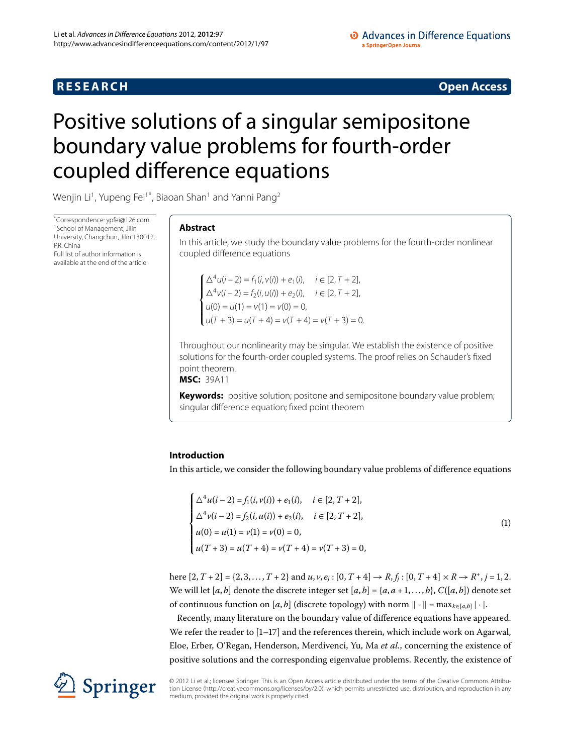# **RESEARCH CONSTRUCTED ACCESS**

# <span id="page-0-0"></span>Positive solutions of a singular semipositone boundary value problems for fourth-order coupled difference equations

Wenjin Li $^1$  $^1$ , Yupeng Fei $^{1^\ast}$ , Biaoan Shan $^1$  and Yanni Pang $^2$  $^2$ 

\* Correspondence: [ypfei@126.com](mailto:ypfei@126.com) <sup>[1](#page-15-0)</sup> School of Management, Jilin University, Changchun, Jilin 130012, PR China Full list of author information is available at the end of the article

## **Abstract**

In this article, we study the boundary value problems for the fourth-order nonlinear coupled difference equations

 $\int \Delta^4 u(i-2) = f_1(i, v(i)) + e_1(i), \quad i \in [2, T+2],$  $\sqrt{ }$  $\overline{\mathcal{L}}$  $\Delta^4 v(i-2) = f_2(i, u(i)) + e_2(i), \quad i \in [2, T+2],$  $u(0) = u(1) = v(1) = v(0) = 0,$  $u(T + 3) = u(T + 4) = v(T + 4) = v(T + 3) = 0.$ 

Throughout our nonlinearity may be singular. We establish the existence of positive solutions for the fourth-order coupled systems. The proof relies on Schauder's fixed point theorem.

**MSC:** 39A11

**Keywords:** positive solution; positone and semipositone boundary value problem; singular difference equation; fixed point theorem

## **Introduction**

In this article, we consider the following boundary value problems of difference equations

<span id="page-0-1"></span>
$$
\begin{cases}\n\Delta^4 u(i-2) = f_1(i, v(i)) + e_1(i), & i \in [2, T+2], \\
\Delta^4 v(i-2) = f_2(i, u(i)) + e_2(i), & i \in [2, T+2], \\
u(0) = u(1) = v(1) = v(0) = 0, \\
u(T+3) = u(T+4) = v(T+4) = v(T+3) = 0,\n\end{cases}
$$
\n(1)

here  $[2, T + 2] = \{2, 3, ..., T + 2\}$  and  $u, v, e_j : [0, T + 4] \rightarrow R, f_j : [0, T + 4] \times R \rightarrow R^+, j = 1, 2$ . We will let [*a*, *b*] denote the discrete integer set [*a*, *b*] = {*a*, *a* + 1, ..., *b*}, *C*([*a*, *b*]) denote set of continuous function on  $[a, b]$  (discrete topology) with norm  $\|\cdot\| = \max_{k \in [a, b]} |\cdot|.$ 

Recently, many literature on the boundary value of difference equations have appeared. We refer the reader to  $[1-17]$  $[1-17]$  and the references therein, which include work on Agarwal, Eloe, Erber, O'Regan, Henderson, Merdivenci, Yu, Ma *et al.*, concerning the existence of positive solutions and the corresponding eigenvalue problems. Recently, the existence of

© 2012 Li et al.; licensee Springer. This is an Open Access article distributed under the terms of the Creative Commons Attribution License ([http://creativecommons.org/licenses/by/2.0\)](http://creativecommons.org/licenses/by/2.0), which permits unrestricted use, distribution, and reproduction in any medium, provided the original work is properly cited.

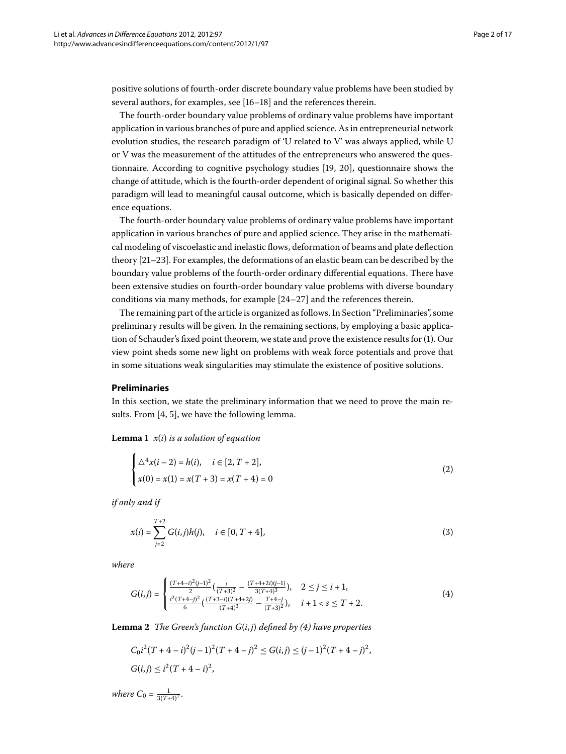positive solutions of fourth-order discrete boundary value problems have been studied by several authors, for examples, see  $[16-18]$  and the references therein.

The fourth-order boundary value problems of ordinary value problems have important application in various branches of pure and applied science. As in entrepreneurial network evolution studies, the research paradigm of 'U related to V' was always applied, while U or V was the measurement of the attitudes of the entrepreneurs who answered the questionnaire. According to cognitive psychology studies  $[19, 20]$  $[19, 20]$  $[19, 20]$  $[19, 20]$ , questionnaire shows the change of attitude, which is the fourth-order dependent of original signal. So whether this paradigm will lead to meaningful causal outcome, which is basically depended on difference equations.

The fourth-order boundary value problems of ordinary value problems have important application in various branches of pure and applied science. They arise in the mathematical modeling of viscoelastic and inelastic flows, deformation of beams and plate deflection theory  $[21-23]$  $[21-23]$ . For examples, the deformations of an elastic beam can be described by the boundary value problems of the fourth-order ordinary differential equations. There have been extensive studies on fourth-order boundary value problems with diverse boundary conditions via many methods, for example  $[24-27]$  $[24-27]$  and the references therein.

The remaining part of the article is organized as follows. In Section "Preliminaries", some preliminary results will be given. In the remaining sections, by employing a basic applica-tion of Schauder's fixed point theorem, we state and prove the existence results for [\(](#page-0-1)1). Our view point sheds some new light on problems with weak force potentials and prove that in some situations weak singularities may stimulate the existence of positive solutions.

### **Preliminaries**

In this section, we state the preliminary information that we need to prove the main results. From  $[4, 5]$  $[4, 5]$  $[4, 5]$ , we have the following lemma.

**Lemma 1**  $x(i)$  *is a solution of equation* 

$$
\begin{cases} \Delta^4 x (i - 2) = h(i), & i \in [2, T + 2], \\ x(0) = x(1) = x(T + 3) = x(T + 4) = 0 \end{cases}
$$
 (2)

*if only and if*

<span id="page-1-0"></span>
$$
x(i) = \sum_{j=2}^{T+2} G(i,j)h(j), \quad i \in [0, T+4],
$$
\n(3)

<span id="page-1-1"></span>*where*

$$
G(i,j) = \begin{cases} \frac{(T+4-i)^2(i-1)^2}{2} \left( \frac{i}{(T+3)^2} - \frac{(T+4+2i)(j-1)}{3(T+4)^3} \right), & 2 \leq j \leq i+1, \\ \frac{i^2(T+4-j)^2}{6} \left( \frac{(T+3-i)(T+4+2j)}{(T+4)^3} - \frac{T+4-j}{(T+3)^2} \right), & i+1 < s \leq T+2. \end{cases} \tag{4}
$$

**Lemma 2** *The Green's function*  $G(i, j)$  *defined by (4) have properties* 

$$
C_0 i^2 (T + 4 - i)^2 (j - 1)^2 (T + 4 - j)^2 \le G(i, j) \le (j - 1)^2 (T + 4 - j)^2,
$$
  

$$
G(i, j) \le i^2 (T + 4 - i)^2,
$$

*where*  $C_0 = \frac{1}{3(T+4)^7}$ .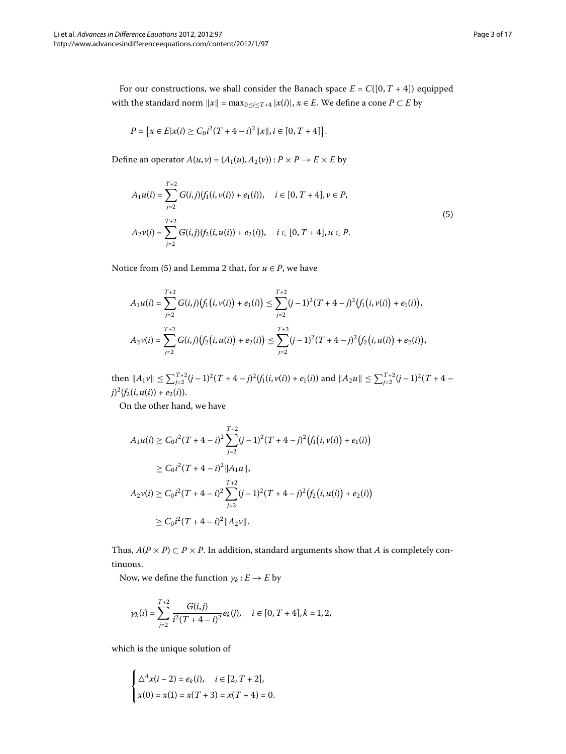For our constructions, we shall consider the Banach space  $E = C([0, T + 4])$  equipped with the standard norm  $||x|| = \max_{0 \le i \le T+4} |x(i)|$ ,  $x \in E$ . We define a cone  $P \subset E$  by

<span id="page-2-0"></span>
$$
P = \{x \in E | x(i) \ge C_0 i^2 (T + 4 - i)^2 ||x||, i \in [0, T + 4]\}.
$$

Define an operator  $A(u, v) = (A_1(u), A_2(v)) : P \times P \rightarrow E \times E$  by

$$
A_1u(i) = \sum_{j=2}^{T+2} G(i,j)(f_1(i,v(i)) + e_1(i)), \quad i \in [0, T+4], v \in P,
$$
  
\n
$$
A_2v(i) = \sum_{j=2}^{T+2} G(i,j)(f_2(i,u(i)) + e_2(i)), \quad i \in [0, T+4], u \in P.
$$
\n(5)

Notice from (5) and Lemma 2 that, for  $u \in P$ , we have

$$
A_1u(i) = \sum_{j=2}^{T+2} G(i,j) (f_1(i,v(i)) + e_1(i)) \leq \sum_{j=2}^{T+2} (j-1)^2 (T+4-j)^2 (f_1(i,v(i)) + e_1(i)),
$$
  
\n
$$
A_2v(i) = \sum_{j=2}^{T+2} G(i,j) (f_2(i,u(i)) + e_2(i)) \leq \sum_{j=2}^{T+2} (j-1)^2 (T+4-j)^2 (f_2(i,u(i)) + e_2(i)),
$$

then  $||A_1v|| \le \sum_{j=2}^{T+2} (j-1)^2 (T+4-j)^2 (f_1(i, v(i)) + e_1(i))$  and  $||A_2u|| \le \sum_{j=2}^{T+2} (j-1)^2 (T+4-j)^2 (f_1(i, v(i)) + e_1(i))$  $j)^2(f_2(i, u(i)) + e_2(i)).$ 

On the other hand, we have

$$
A_1u(i) \ge C_0i^2(T+4-i)^2 \sum_{j=2}^{T+2} (j-1)^2(T+4-j)^2 \big(f_1(i,\nu(i)) + e_1(i)\big)
$$
  
\n
$$
\ge C_0i^2(T+4-i)^2 ||A_1u||,
$$
  
\n
$$
A_2v(i) \ge C_0i^2(T+4-i)^2 \sum_{j=2}^{T+2} (j-1)^2(T+4-j)^2 \big(f_2(i,u(i)) + e_2(i)\big)
$$
  
\n
$$
\ge C_0i^2(T+4-i)^2 ||A_2v||.
$$

Thus,  $A(P \times P) \subset P \times P$ . In addition, standard arguments show that *A* is completely continuous.

Now, we define the function  $\gamma_k : E \to E$  by

$$
\gamma_k(i) = \sum_{j=2}^{T+2} \frac{G(i,j)}{i^2(T+4-i)^2} e_k(j), \quad i \in [0, T+4], k = 1, 2,
$$

which is the unique solution of

$$
\begin{cases}\n\Delta^4 x(i-2) = e_k(i), & i \in [2, T+2], \\
x(0) = x(1) = x(T+3) = x(T+4) = 0.\n\end{cases}
$$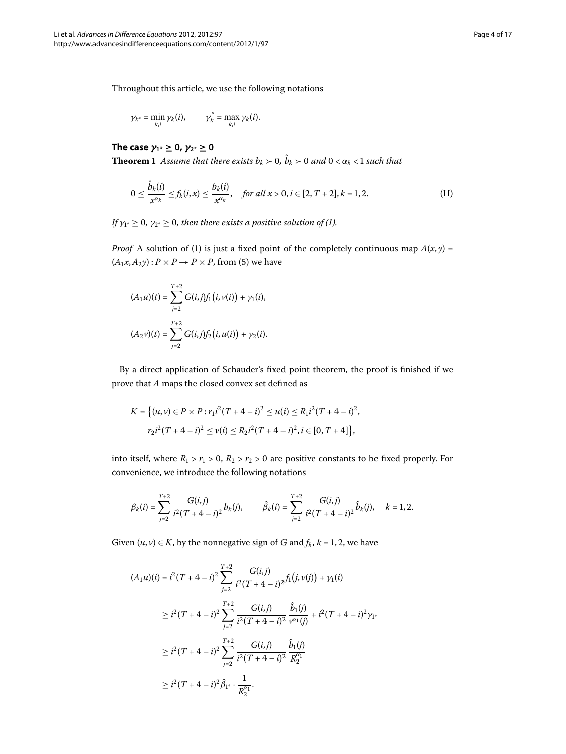<span id="page-3-0"></span>
$$
\gamma_{k^*} = \min_{k,i} \gamma_k(i), \qquad \gamma_k^* = \max_{k,i} \gamma_k(i).
$$

**The case**  $\gamma_{1*} \geq 0$ ,  $\gamma_{2*} \geq 0$ **Theorem 1** Assume that there exists  $b_k > 0$ ,  $\hat{b}_k > 0$  and  $0 < \alpha_k < 1$  such that

$$
0 \le \frac{\hat{b}_k(i)}{x^{\alpha_k}} \le f_k(i,x) \le \frac{b_k(i)}{x^{\alpha_k}}, \quad \text{for all } x > 0, i \in [2, T + 2], k = 1, 2. \tag{H}
$$

*If*  $\gamma_{1^*} \geq 0$ ,  $\gamma_{2^*} \geq 0$ , then there exists a positive solution of (1[\)](#page-0-1).

*Proof* A solution of (1[\)](#page-0-1) is just a fixed point of the completely continuous map  $A(x, y) =$  $(A_1x, A_2y)$  $(A_1x, A_2y)$ :  $P \times P \rightarrow P \times P$ , from (5) we have

$$
(A_1u)(t) = \sum_{j=2}^{T+2} G(i,j) f_1(i, v(i)) + \gamma_1(i),
$$
  

$$
(A_2v)(t) = \sum_{j=2}^{T+2} G(i,j) f_2(i, u(i)) + \gamma_2(i).
$$

By a direct application of Schauder's fixed point theorem, the proof is finished if we prove that *A* maps the closed convex set defined as

$$
K = \{(u, v) \in P \times P : r_1 i^2 (T + 4 - i)^2 \le u(i) \le R_1 i^2 (T + 4 - i)^2,
$$
  

$$
r_2 i^2 (T + 4 - i)^2 \le v(i) \le R_2 i^2 (T + 4 - i)^2, i \in [0, T + 4]\},
$$

into itself, where  $R_1 > r_1 > 0$ ,  $R_2 > r_2 > 0$  are positive constants to be fixed properly. For convenience, we introduce the following notations

$$
\beta_k(i) = \sum_{j=2}^{T+2} \frac{G(i,j)}{i^2 (T+4-i)^2} b_k(j), \qquad \hat{\beta}_k(i) = \sum_{j=2}^{T+2} \frac{G(i,j)}{i^2 (T+4-i)^2} \hat{b}_k(j), \quad k = 1, 2.
$$

Given  $(u, v) \in K$ , by the nonnegative sign of *G* and  $f_k$ ,  $k = 1, 2$ , we have

$$
(A_1u)(i) = i^2(T + 4 - i)^2 \sum_{j=2}^{T+2} \frac{G(i,j)}{i^2(T + 4 - i)^2} f_1(j, v(j)) + \gamma_1(i)
$$
  
\n
$$
\geq i^2(T + 4 - i)^2 \sum_{j=2}^{T+2} \frac{G(i,j)}{i^2(T + 4 - i)^2} \frac{\hat{b}_1(j)}{v^{\alpha_1}(j)} + i^2(T + 4 - i)^2 \gamma_1.
$$
  
\n
$$
\geq i^2(T + 4 - i)^2 \sum_{j=2}^{T+2} \frac{G(i,j)}{i^2(T + 4 - i)^2} \frac{\hat{b}_1(j)}{R_2^{\alpha_1}}
$$
  
\n
$$
\geq i^2(T + 4 - i)^2 \hat{\beta}_1 \cdot \frac{1}{R_2^{\alpha_1}}.
$$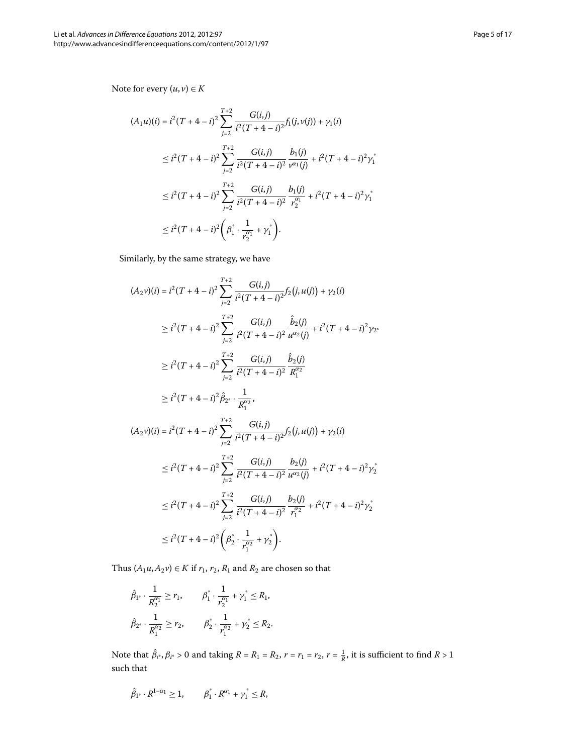Note for every  $(u, v) \in K$ 

$$
(A_1u)(i) = i^2(T + 4 - i)^2 \sum_{j=2}^{T+2} \frac{G(i,j)}{i^2(T + 4 - i)^2} f_1(j, v(j)) + \gamma_1(i)
$$
  

$$
\leq i^2(T + 4 - i)^2 \sum_{j=2}^{T+2} \frac{G(i,j)}{i^2(T + 4 - i)^2} \frac{b_1(j)}{v^{\alpha_1}(j)} + i^2(T + 4 - i)^2 \gamma_1^*
$$
  

$$
\leq i^2(T + 4 - i)^2 \sum_{j=2}^{T+2} \frac{G(i,j)}{i^2(T + 4 - i)^2} \frac{b_1(j)}{r_2^{\alpha_1}} + i^2(T + 4 - i)^2 \gamma_1^*
$$
  

$$
\leq i^2(T + 4 - i)^2 \left(\beta_1^* \cdot \frac{1}{r_2^{\alpha_1}} + \gamma_1^*\right).
$$

Similarly, by the same strategy, we have

$$
(A_2 v)(i) = i^2 (T + 4 - i)^2 \sum_{j=2}^{T+2} \frac{G(i,j)}{i^2 (T + 4 - i)^2} f_2(j, u(j)) + \gamma_2(i)
$$
  
\n
$$
\geq i^2 (T + 4 - i)^2 \sum_{j=2}^{T+2} \frac{G(i,j)}{i^2 (T + 4 - i)^2} \frac{\hat{b}_2(j)}{u^{\alpha_2}(j)} + i^2 (T + 4 - i)^2 \gamma_2.
$$
  
\n
$$
\geq i^2 (T + 4 - i)^2 \sum_{j=2}^{T+2} \frac{G(i,j)}{i^2 (T + 4 - i)^2} \frac{\hat{b}_2(j)}{R_1^{\alpha_2}}
$$
  
\n
$$
\geq i^2 (T + 4 - i)^2 \hat{\beta}_2 \cdot \frac{1}{R_1^{\alpha_2}},
$$
  
\n
$$
(A_2 v)(i) = i^2 (T + 4 - i)^2 \sum_{j=2}^{T+2} \frac{G(i,j)}{i^2 (T + 4 - i)^2} f_2(j, u(j)) + \gamma_2(i)
$$
  
\n
$$
\leq i^2 (T + 4 - i)^2 \sum_{j=2}^{T+2} \frac{G(i,j)}{i^2 (T + 4 - i)^2} \frac{b_2(j)}{u^{\alpha_2}(j)} + i^2 (T + 4 - i)^2 \gamma_2^*
$$
  
\n
$$
\leq i^2 (T + 4 - i)^2 \sum_{j=2}^{T+2} \frac{G(i,j)}{i^2 (T + 4 - i)^2} \frac{b_2(j)}{r_1^{\alpha_2}} + i^2 (T + 4 - i)^2 \gamma_2^*
$$
  
\n
$$
\leq i^2 (T + 4 - i)^2 \left(\beta_2^* \cdot \frac{1}{r_1^{\alpha_2}} + \gamma_2^* \right).
$$

Thus  $(A_1u, A_2v) \in K$  if  $r_1, r_2, R_1$  and  $R_2$  are chosen so that

$$
\hat{\beta}_{1^*} \cdot \frac{1}{R_2^{\alpha_1}} \ge r_1, \qquad \beta_1^* \cdot \frac{1}{r_2^{\alpha_1}} + \gamma_1^* \le R_1,
$$
  

$$
\hat{\beta}_{2^*} \cdot \frac{1}{R_1^{\alpha_2}} \ge r_2, \qquad \beta_2^* \cdot \frac{1}{r_1^{\alpha_2}} + \gamma_2^* \le R_2.
$$

Note that  $\hat{\beta}_{i^*}, \beta_{i^*} > 0$  and taking  $R = R_1 = R_2$ ,  $r = r_1 = r_2$ ,  $r = \frac{1}{R}$ , it is sufficient to find  $R > 1$ such that

$$
\hat{\beta}_{1^*}\cdot R^{1-\alpha_1}\geq 1, \qquad \beta_1^*\cdot R^{\alpha_1}+\gamma_1^*\leq R,
$$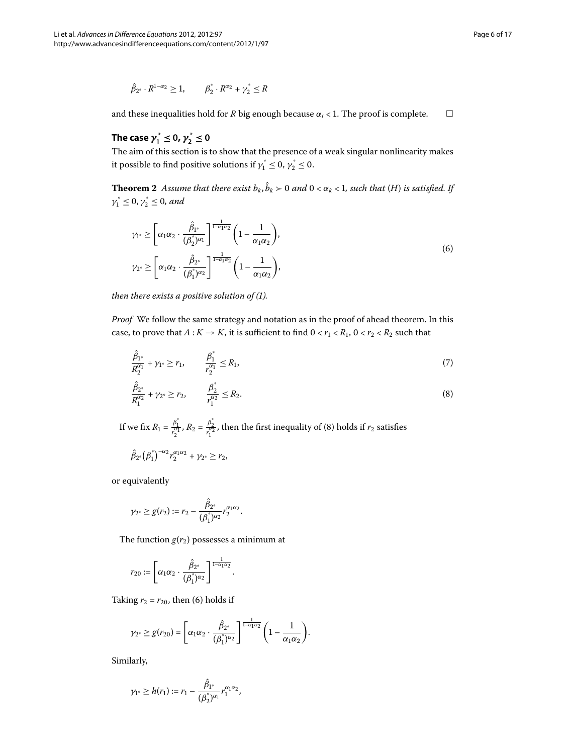$$
\hat{\beta}_{2^*} \cdot R^{1-\alpha_2} \ge 1, \qquad \beta_2^* \cdot R^{\alpha_2} + \gamma_2^* \le R
$$

and these inequalities hold for *R* big enough because  $\alpha_i$  < 1. The proof is complete.  $\Box$ 

# **The case** *γ* **\* <sup>1</sup> ≤ 0,** *γ* **\* <sup>2</sup> ≤ 0**

The aim of this section is to show that the presence of a weak singular nonlinearity makes it possible to find positive solutions if  $\gamma_1^* \leq 0$ ,  $\gamma_2^* \leq 0$ .

**Theorem 2** Assume that there exist  $b_k$ ,  $\hat{b}_k > 0$  and  $0 < \alpha_k < 1$ , such that (*H*) is satisfied. If  $\gamma_1^* \leq 0, \gamma_2^* \leq 0$ , and

<span id="page-5-1"></span>
$$
\gamma_{1^*} \ge \left[ \alpha_1 \alpha_2 \cdot \frac{\hat{\beta}_{1^*}}{(\beta_2^*)^{\alpha_1}} \right]^{\frac{1}{1-\alpha_1 \alpha_2}} \left( 1 - \frac{1}{\alpha_1 \alpha_2} \right),
$$
  

$$
\gamma_{2^*} \ge \left[ \alpha_1 \alpha_2 \cdot \frac{\hat{\beta}_{2^*}}{(\beta_1^*)^{\alpha_2}} \right]^{\frac{1}{1-\alpha_1 \alpha_2}} \left( 1 - \frac{1}{\alpha_1 \alpha_2} \right),
$$
 (6)

<span id="page-5-2"></span>*then there exists a positive solution of (1).* 

<span id="page-5-0"></span>*Proof* We follow the same strategy and notation as in the proof of ahead theorem. In this case, to prove that  $A: K \to K$ , it is sufficient to find  $0 < r_1 < R_1$ ,  $0 < r_2 < R_2$  such that

$$
\frac{\hat{\beta}_{1^*}}{R_2^{\alpha_1}} + \gamma_{1^*} \ge r_1, \qquad \frac{\beta_1^*}{r_2^{\alpha_1}} \le R_1,\tag{7}
$$

$$
\frac{\hat{\beta}_{2^*}}{R_1^{\alpha_2}} + \gamma_{2^*} \ge r_2, \qquad \frac{\beta_2^*}{r_1^{\alpha_2}} \le R_2.
$$
\n(8)

If we fix  $R_1 = \frac{\beta_1^*}{r_2^{a_1}}$ ,  $R_2 = \frac{\beta_2^*}{r_1^{a_2}}$ , then the first inequality of (8[\)](#page-5-0) holds if  $r_2$  satisfies

$$
\hat{\beta}_{2^*}(\beta_1^*)^{-\alpha_2}r_2^{\alpha_1\alpha_2}+\gamma_{2^*}\geq r_2,
$$

or equivalently

$$
\gamma_{2^*} \ge g(r_2) := r_2 - \frac{\hat{\beta}_{2^*}}{(\beta_1^*)^{\alpha_2}} r_2^{\alpha_1 \alpha_2}.
$$

The function  $g(r_2)$  possesses a minimum at

$$
r_{20}:=\left[\alpha_1\alpha_2\cdot\frac{\hat\beta_{2^*}}{(\beta_1^*)^{\alpha_2}}\right]^{\frac{1}{1-\alpha_1\alpha_2}}.
$$

Taking  $r_2 = r_{20}$ , then (6) holds if

$$
\gamma_{2^*} \ge g(r_{20}) = \left[\alpha_1\alpha_2 \cdot \frac{\hat{\beta}_{2^*}}{(\hat{\beta_1})^{\alpha_2}}\right]^{\frac{1}{1-\alpha_1\alpha_2}} \left(1 - \frac{1}{\alpha_1\alpha_2}\right).
$$

Similarly,

$$
\gamma_{1^*} \geq h(r_1) := r_1 - \frac{\hat{\beta}_{1^*}}{(\hat{\beta}_2^*)^{\alpha_1}} r_1^{\alpha_1 \alpha_2},
$$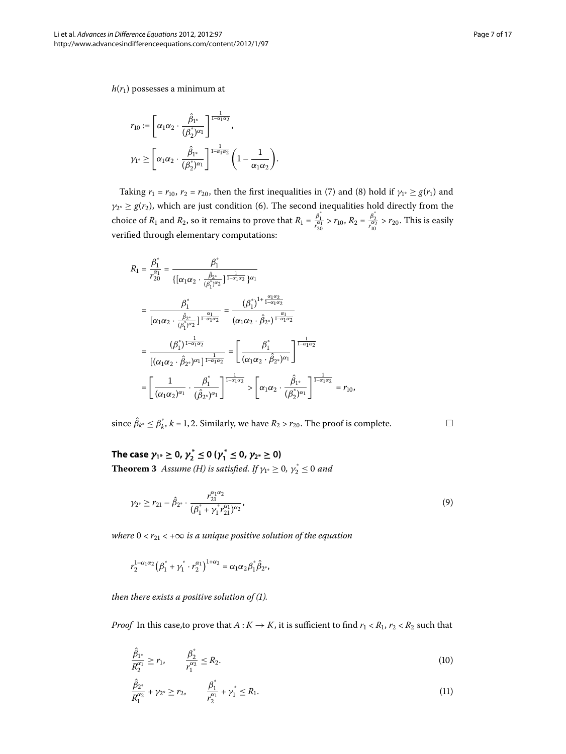*h*(*r*) possesses a minimum at

$$
\begin{aligned} &r_{10}:=\left[\alpha_1\alpha_2\cdot\frac{\hat{\beta}_{1^*}}{(\beta_2^*)^{\alpha_1}}\right]^{\frac{1}{1-\alpha_1\alpha_2}},\\ &\gamma_{1^*}\geq \left[\alpha_1\alpha_2\cdot\frac{\hat{\beta}_{1^*}}{(\beta_2^*)^{\alpha_1}}\right]^{\frac{1}{1-\alpha_1\alpha_2}}\left(1-\frac{1}{\alpha_1\alpha_2}\right). \end{aligned}
$$

Taking  $r_1 = r_{10}$ ,  $r_2 = r_{20}$ , then the first inequalities in [\(](#page-5-0)7) and (8) hold if  $\gamma_{1*} \ge g(r_1)$  and  $\gamma_{2^*} \geq g(r_2)$ , which are just condition (6). The second inequalities hold directly from the choice of  $R_1$  and  $R_2$ , so it remains to prove that  $R_1 = \frac{\beta_1^*}{r_{20}^{\alpha_1}} > r_{10}$ ,  $R_2 = \frac{\beta_2^*}{r_{10}^{\alpha_2}} > r_{20}$ . This is easily verified through elementary computations:

$$
R_{1} = \frac{\beta_{1}^{*}}{r_{20}^{\alpha_{1}}} = \frac{\beta_{1}^{*}}{\{[\alpha_{1}\alpha_{2} \cdot \frac{\hat{\beta}_{2^{*}}}{(\beta_{1}^{*})^{\alpha_{2}}}\}^{\frac{1}{1-\alpha_{1}\alpha_{2}}}\}^{\alpha_{1}}}
$$
\n
$$
= \frac{\beta_{1}^{*}}{[\alpha_{1}\alpha_{2} \cdot \frac{\hat{\beta}_{2^{*}}}{(\beta_{1}^{*})^{\alpha_{2}}}\}^{\frac{\alpha_{1}}{1-\alpha_{1}\alpha_{2}}}} = \frac{(\beta_{1}^{*})^{1+\frac{\alpha_{1}\alpha_{2}}{1-\alpha_{1}\alpha_{2}}}}{(\alpha_{1}\alpha_{2} \cdot \hat{\beta}_{2^{*}})^{\frac{\alpha_{1}}{1-\alpha_{1}\alpha_{2}}}}
$$
\n
$$
= \frac{(\beta_{1}^{*})^{\frac{1}{1-\alpha_{1}\alpha_{2}}}}{[(\alpha_{1}\alpha_{2} \cdot \hat{\beta}_{2^{*}})^{\alpha_{1}}]^{\frac{1}{1-\alpha_{1}\alpha_{2}}}} = \left[\frac{\beta_{1}^{*}}{(\alpha_{1}\alpha_{2} \cdot \hat{\beta}_{2^{*}})^{\alpha_{1}}}\right]^{\frac{1}{1-\alpha_{1}\alpha_{2}}}
$$
\n
$$
= \left[\frac{1}{(\alpha_{1}\alpha_{2})^{\alpha_{1}}} \cdot \frac{\beta_{1}^{*}}{(\hat{\beta}_{2^{*}})^{\alpha_{1}}}\right]^{\frac{1}{1-\alpha_{1}\alpha_{2}}} > \left[\alpha_{1}\alpha_{2} \cdot \frac{\hat{\beta}_{1^{*}}}{(\hat{\beta}_{2}^{*})^{\alpha_{1}}}\right]^{\frac{1}{1-\alpha_{1}\alpha_{2}}} = r_{10},
$$

since  $\hat{\beta}_{k^*} \leq \beta_k^*$ ,  $k = 1, 2$ . Similarly, we have  $R_2 > r_{20}$ . The proof is complete.

**The case**  $\gamma_1 * \ge 0$ ,  $\gamma_2^* \le 0$  ( $\gamma_1^* \le 0$ ,  $\gamma_{2^*} \ge 0$ ) **Theorem 3** Assume [\(H](#page-3-0)) is satisfied. If  $\gamma_{1^*} \geq 0$ ,  $\gamma_2^* \leq 0$  and

$$
\gamma_{2^*} \ge r_{21} - \hat{\beta}_{2^*} \cdot \frac{r_{21}^{\alpha_1 \alpha_2}}{(\beta_1^* + \gamma_1^* r_{21}^{\alpha_1})^{\alpha_2}},\tag{9}
$$

*where*  $0 < r_{21} < +\infty$  *is a unique positive solution of the equation* 

$$
r_2^{1-\alpha_1\alpha_2}(\beta_1^* + \gamma_1^* \cdot r_2^{\alpha_1})^{1+\alpha_2} = \alpha_1\alpha_2\beta_1^*\hat{\beta}_{2^*},
$$

<span id="page-6-1"></span><span id="page-6-0"></span>*then there exists a positive solution of (1).* 

*Proof* In this case, to prove that  $A: K \to K$ , it is sufficient to find  $r_1 < R_1$ ,  $r_2 < R_2$  such that

$$
\frac{\hat{\beta}_{1^*}}{R_2^{\alpha_1}} \ge r_1, \qquad \frac{\beta_2^*}{r_1^{\alpha_2}} \le R_2.
$$
\n(10)

$$
\frac{\hat{\beta}_{2^*}}{R_1^{\alpha_2}} + \gamma_{2^*} \ge r_2, \qquad \frac{\beta_1^*}{r_2^{\alpha_1}} + \gamma_1^* \le R_1.
$$
\n(11)

<span id="page-6-2"></span> $\Box$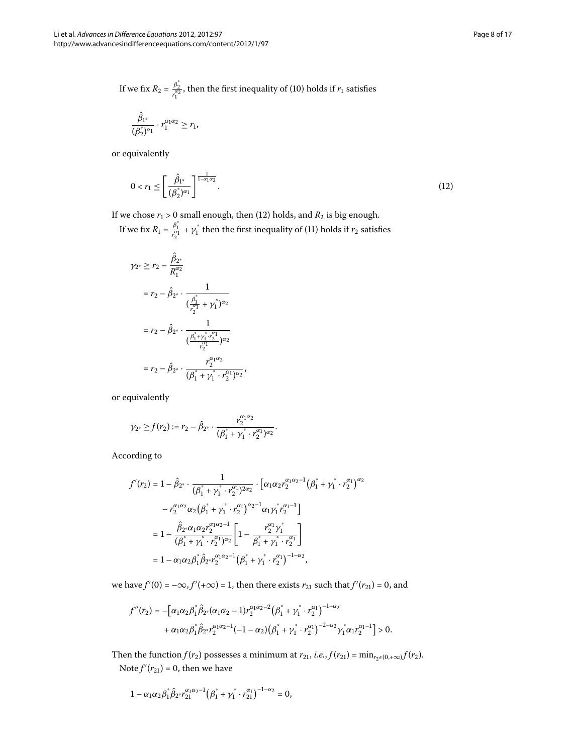If we fix 
$$
R_2 = \frac{\beta_2^2}{r_1^{\alpha_2}}
$$
, then the first inequality of (10) holds if  $r_1$  satisfies

<span id="page-7-0"></span>
$$
\frac{\hat{\beta}_{1^*}}{(\beta_2^*)^{\alpha_1}} \cdot r_1^{\alpha_1\alpha_2} \ge r_1,
$$

or equivalently

$$
0 < r_1 \le \left[ \frac{\hat{\beta}_{1^*}}{(\beta_2^*)^{\alpha_1}} \right]^{\frac{1}{1-\alpha_1 \alpha_2}}. \tag{12}
$$

If we chose  $r_1 > 0$  small enough, then (12) holds, and  $R_2$  is big enough.

If we fix  $R_1 = \frac{\beta_1^*}{r_2^{\alpha_1}} + \gamma_1^*$  then the first inequality of (11[\)](#page-6-1) holds if  $r_2$  satisfies

$$
\begin{aligned} \gamma_{2^*} &\geq r_2 - \frac{\hat{\beta}_{2^*}}{R_1^{\alpha_2}} \\ &= r_2 - \hat{\beta}_{2^*} \cdot \frac{1}{(\frac{\beta_1^*}{r_2^{\alpha_1}} + \gamma_1^*)^{\alpha_2}} \\ &= r_2 - \hat{\beta}_{2^*} \cdot \frac{1}{(\frac{\beta_1^* + \gamma_1^* \cdot r_2^{\alpha_1}}{r_2^{\alpha_1}})^{\alpha_2}} \\ &= r_2 - \hat{\beta}_{2^*} \cdot \frac{r_2^{\alpha_1 \alpha_2}}{(\beta_1^* + \gamma_1^* \cdot r_2^{\alpha_1})^{\alpha_2}}, \end{aligned}
$$

or equivalently

$$
\gamma_{2^*} \ge f(r_2) := r_2 - \hat{\beta}_{2^*} \cdot \frac{r_2^{\alpha_1 \alpha_2}}{(\beta_1^* + \gamma_1^* \cdot r_2^{\alpha_1})^{\alpha_2}}.
$$

According to

$$
f'(r_2) = 1 - \hat{\beta}_{2^*} \cdot \frac{1}{(\beta_1^* + \gamma_1^* \cdot r_2^{\alpha_1})^{2\alpha_2}} \cdot \left[ \alpha_1 \alpha_2 r_2^{\alpha_1 \alpha_2 - 1} (\beta_1^* + \gamma_1^* \cdot r_2^{\alpha_1})^{\alpha_2} \right. - r_2^{\alpha_1 \alpha_2} \alpha_2 (\beta_1^* + \gamma_1^* \cdot r_2^{\alpha_1})^{\alpha_2 - 1} \alpha_1 \gamma_1^* r_2^{\alpha_1 - 1} \bigg] = 1 - \frac{\hat{\beta}_{2^*} \alpha_1 \alpha_2 r_2^{\alpha_1 \alpha_2 - 1}}{(\beta_1^* + \gamma_1^* \cdot r_2^{\alpha_1})^{\alpha_2}} \left[ 1 - \frac{r_2^{\alpha_1} \gamma_1^*}{\beta_1^* + \gamma_1^* \cdot r_2^{\alpha_1}} \right] = 1 - \alpha_1 \alpha_2 \beta_1^* \hat{\beta}_{2^*} r_2^{\alpha_1 \alpha_2 - 1} (\beta_1^* + \gamma_1^* \cdot r_2^{\alpha_1})^{-1 - \alpha_2},
$$

we have  $f'(0) = -\infty$ ,  $f'(+\infty) = 1$ , then there exists  $r_{21}$  such that  $f'(r_{21}) = 0$ , and

$$
f''(r_2) = -\Big[\alpha_1\alpha_2\beta_1^*\hat{\beta}_{2^*}(\alpha_1\alpha_2 - 1)r_2^{\alpha_1\alpha_2-2}(\beta_1^* + \gamma_1^* \cdot r_2^{\alpha_1})^{-1-\alpha_2} + \alpha_1\alpha_2\beta_1^*\hat{\beta}_{2^*}r_2^{\alpha_1\alpha_2-1}(-1-\alpha_2)(\beta_1^* + \gamma_1^* \cdot r_2^{\alpha_1})^{-2-\alpha_2}\gamma_1^*\alpha_1r_2^{\alpha_1-1}\Big] > 0.
$$

Then the function *f* (*r*<sub>2</sub>) possesses a minimum at *r*<sub>21</sub>, *i.e.*, *f* (*r*<sub>21</sub>) = min<sub>*r*<sub>2</sub> $\epsilon$ (0,+∞)</sub>*f* (*r*<sub>2</sub>). Note  $f'(r_{21}) = 0$ , then we have

$$
1-\alpha_1\alpha_2\beta_1^*\hat{\beta}_{2^*}r_{21}^{\alpha_1\alpha_2-1}\big(\beta_1^*+\gamma_1^*\cdot r_{21}^{\alpha_1}\big)^{-1-\alpha_2}=0,
$$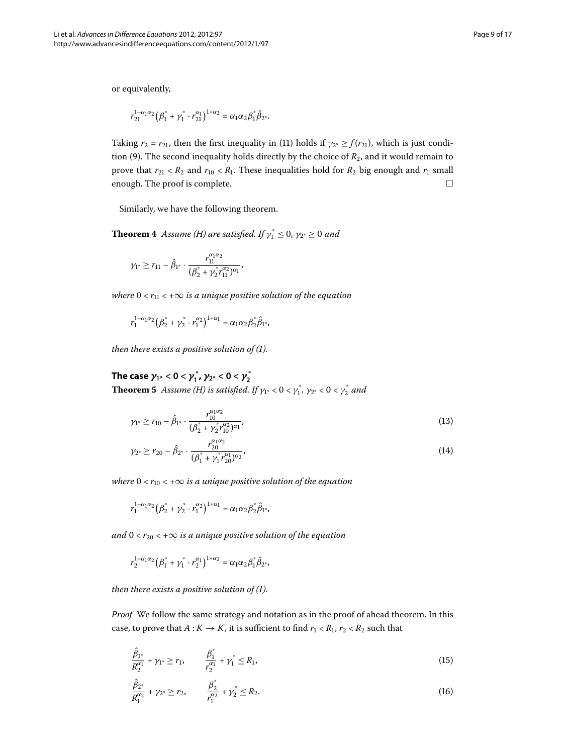or equivalently,

$$
r_{21}^{1-\alpha_1\alpha_2}(\beta_1^* + \gamma_1^* \cdot r_{21}^{\alpha_1})^{1+\alpha_2} = \alpha_1\alpha_2\beta_1^*\hat{\beta}_{2^*}.
$$

Taking  $r_2 = r_{21}$ , then the first inequality in [\(](#page-6-1)11) holds if  $\gamma_{2^*} \ge f(r_{21})$ , which is just condi-tion (9[\)](#page-6-2). The second inequality holds directly by the choice of  $R_2$ , and it would remain to prove that  $r_{21} < R_2$  and  $r_{10} < R_1$ . These inequalities hold for  $R_2$  big enough and  $r_1$  small enough. The proof is complete.  $\Box$ 

Similarly, we have the following theorem.

**Theorem 4** Assume [\(H\)](#page-3-0) are satisfied. If  $\gamma_1^* \leq 0$ ,  $\gamma_{2^*} \geq 0$  and

$$
\gamma_{1^*} \geq r_{11} - \hat{\beta}_{1^*} \cdot \frac{r_{11}^{\alpha_1\alpha_2}}{(\beta_2^* + \gamma_2^* r_{11}^{\alpha_2})^{\alpha_1}},
$$

*where*  $0 < r_{11} < +\infty$  *is a unique positive solution of the equation* 

$$
r_1^{1-\alpha_1\alpha_2}\big(\beta_2^*+\gamma_2^*\cdot r_1^{\alpha_2}\big)^{1+\alpha_1}=\alpha_1\alpha_2\beta_2^*\hat{\beta}_{1^*},
$$

<span id="page-8-2"></span>*then there exists a positive solution of (1).* 

## <span id="page-8-3"></span>**1The case**  $\gamma_{1^*} < 0 < \gamma_1^*$ ,  $\gamma_{2^*} < 0 < \gamma_2^*$

**Theorem 5** Assume [\(H](#page-3-0)) is satisfied. If  $\gamma_{1^*} < 0 < \gamma_1^*$ ,  $\gamma_{2^*} < 0 < \gamma_2^*$  and

$$
\gamma_{1^*} \ge r_{10} - \hat{\beta}_{1^*} \cdot \frac{r_{10}^{\alpha_1 \alpha_2}}{(\beta_2^* + \gamma_2^* r_{10}^{\alpha_2})^{\alpha_1}},\tag{13}
$$

$$
\gamma_{2^*} \ge r_{20} - \hat{\beta}_{2^*} \cdot \frac{r_{20}^{\alpha_1 \alpha_2}}{(\beta_1^* + \gamma_1^* r_{20}^{\alpha_1})^{\alpha_2}},\tag{14}
$$

*where*  $0 < r_{10} < +\infty$  *is a unique positive solution of the equation* 

$$
r_1^{1-\alpha_1\alpha_2}\big(\beta_2^*+\gamma_2^*\cdot r_1^{\alpha_2}\big)^{1+\alpha_1}=\alpha_1\alpha_2\beta_2^*\hat{\beta}_{1^*},
$$

*and*  $0 < r_{20} < +\infty$  *is a unique positive solution of the equation* 

$$
r_2^{1-\alpha_1\alpha_2}(\beta_1^* + \gamma_1^* \cdot r_2^{\alpha_1})^{1+\alpha_2} = \alpha_1\alpha_2\beta_1^*\hat{\beta}_{2^*},
$$

<span id="page-8-0"></span>*then there exists a positive solution of (1).* 

<span id="page-8-1"></span>*Proof* We follow the same strategy and notation as in the proof of ahead theorem. In this case, to prove that  $A: K \to K$ , it is sufficient to find  $r_1 < R_1$ ,  $r_2 < R_2$  such that

$$
\frac{\hat{\beta}_{1^*}}{R_2^{\alpha_1}} + \gamma_{1^*} \ge r_1, \qquad \frac{\beta_1^*}{r_2^{\alpha_1}} + \gamma_1^* \le R_1,\tag{15}
$$

$$
\frac{\hat{\beta}_{2^*}}{R_1^{\alpha_2}} + \gamma_{2^*} \ge r_2, \qquad \frac{\beta_2^*}{r_1^{\alpha_2}} + \gamma_2^* \le R_2.
$$
\n(16)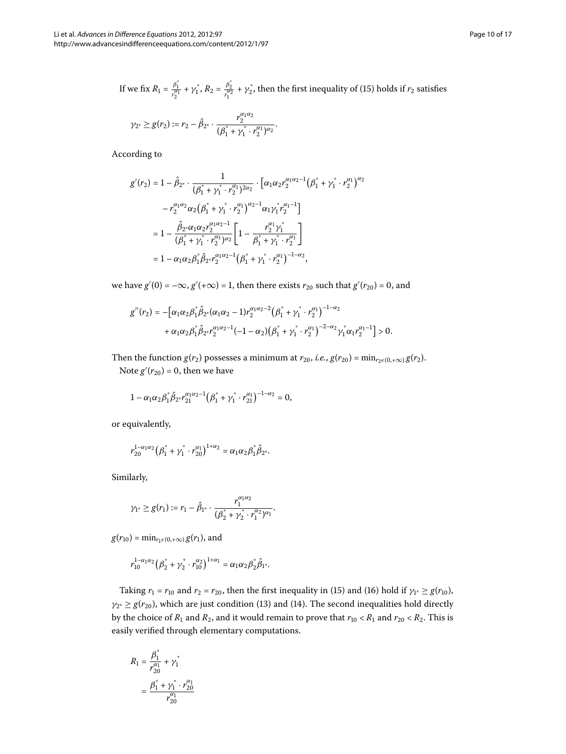If we fix 
$$
R_1 = \frac{\beta_1^*}{r_2^{\alpha_1}} + \gamma_1^*, R_2 = \frac{\beta_2^*}{r_1^{\alpha_2}} + \gamma_2^*
$$
, then the first inequality of (15) holds if  $r_2$  satisfies

$$
\gamma_{2^*} \ge g(r_2) := r_2 - \hat{\beta}_{2^*} \cdot \frac{r_2^{\alpha_1 \alpha_2}}{(\beta_1^* + \gamma_1^* \cdot r_2^{\alpha_1})^{\alpha_2}}.
$$

According to

$$
g'(r_2) = 1 - \hat{\beta}_{2^*} \cdot \frac{1}{(\beta_1^* + \gamma_1^* \cdot r_2^{\alpha_1})^{2\alpha_2}} \cdot \left[ \alpha_1 \alpha_2 r_2^{\alpha_1 \alpha_2 - 1} (\beta_1^* + \gamma_1^* \cdot r_2^{\alpha_1})^{\alpha_2} \right]
$$

$$
- r_2^{\alpha_1 \alpha_2} \alpha_2 (\beta_1^* + \gamma_1^* \cdot r_2^{\alpha_1})^{\alpha_2 - 1} \alpha_1 \gamma_1^* r_2^{\alpha_1 - 1} \right]
$$

$$
= 1 - \frac{\hat{\beta}_{2^*} \alpha_1 \alpha_2 r_2^{\alpha_1 \alpha_2 - 1}}{(\beta_1^* + \gamma_1^* \cdot r_2^{\alpha_1})^{\alpha_2}} \left[ 1 - \frac{r_2^{\alpha_1} \gamma_1^*}{\beta_1^* + \gamma_1^* \cdot r_2^{\alpha_1}} \right]
$$

$$
= 1 - \alpha_1 \alpha_2 \beta_1^* \hat{\beta}_{2^*} r_2^{\alpha_1 \alpha_2 - 1} (\beta_1^* + \gamma_1^* \cdot r_2^{\alpha_1})^{-1 - \alpha_2},
$$

we have  $g'(0) = -\infty$ ,  $g'(+\infty) = 1$ , then there exists  $r_{20}$  such that  $g'(r_{20}) = 0$ , and

$$
g''(r_2) = -\Big[\alpha_1\alpha_2\beta_1^*\hat{\beta}_{2^*}(\alpha_1\alpha_2 - 1)r_2^{\alpha_1\alpha_2-2}\big(\beta_1^* + \gamma_1^*\cdot r_2^{\alpha_1}\big)^{-1-\alpha_2} \\ + \alpha_1\alpha_2\beta_1^*\hat{\beta}_{2^*}r_2^{\alpha_1\alpha_2-1}(-1-\alpha_2)\big(\beta_1^* + \gamma_1^*\cdot r_2^{\alpha_1}\big)^{-2-\alpha_2}\gamma_1^*\alpha_1r_2^{\alpha_1-1}\Big] > 0.
$$

Then the function *g*(*r*<sub>2</sub>) possesses a minimum at *r*<sub>20</sub>, *i.e.*, *g*(*r*<sub>20</sub>) = min<sub>*r*<sub>2</sub> $\epsilon$ (0,+∞) *g*(*r*<sub>2</sub>).</sub> Note  $g'(r_{20}) = 0$ , then we have

$$
1-\alpha_1\alpha_2\beta_1^*\hat{\beta}_{2^*}r_{21}^{\alpha_1\alpha_2-1}\big(\beta_1^*+\gamma_1^*\cdot r_{21}^{\alpha_1}\big)^{-1-\alpha_2}=0,
$$

or equivalently,

$$
r_{20}^{1-\alpha_1\alpha_2}\big(\beta_1^*+\gamma_1^*\cdot r_{20}^{\alpha_1}\big)^{1+\alpha_2} = \alpha_1\alpha_2\beta_1^*\hat{\beta}_{2^*}.
$$

Similarly,

$$
\gamma_1 \geq g(r_1) := r_1 - \hat{\beta}_{1^*} \cdot \frac{r_1^{\alpha_1 \alpha_2}}{(\beta_2^* + \gamma_2^* \cdot r_1^{\alpha_2})^{\alpha_1}}.
$$

 $g(r_{10}) = \min_{r_1 \in (0, +\infty)} g(r_1)$ , and

$$
r_{10}^{1-\alpha_1\alpha_2}(\beta_2^* + \gamma_2^* \cdot r_{10}^{\alpha_2})^{1+\alpha_1} = \alpha_1\alpha_2\beta_2^*\hat{\beta}_{1^*}.
$$

Taking  $r_1 = r_{10}$  and  $r_2 = r_{20}$ , then the first inequality in (15[\)](#page-8-1) and (16) hold if  $\gamma_1 \ge g(r_{10})$ ,  $\gamma_{2^*} \geq g(r_{20})$  $\gamma_{2^*} \geq g(r_{20})$  $\gamma_{2^*} \geq g(r_{20})$ , which are just condition (13) and (14). The second inequalities hold directly by the choice of  $R_1$  and  $R_2$ , and it would remain to prove that  $r_{10} < R_1$  and  $r_{20} < R_2$ . This is easily verified through elementary computations.

$$
R_1 = \frac{\beta_1^*}{r_{20}^{\alpha_1}} + \gamma_1^*
$$
  
= 
$$
\frac{\beta_1^* + \gamma_1^* \cdot r_{20}^{\alpha_1}}{r_{20}^{\alpha_1}}
$$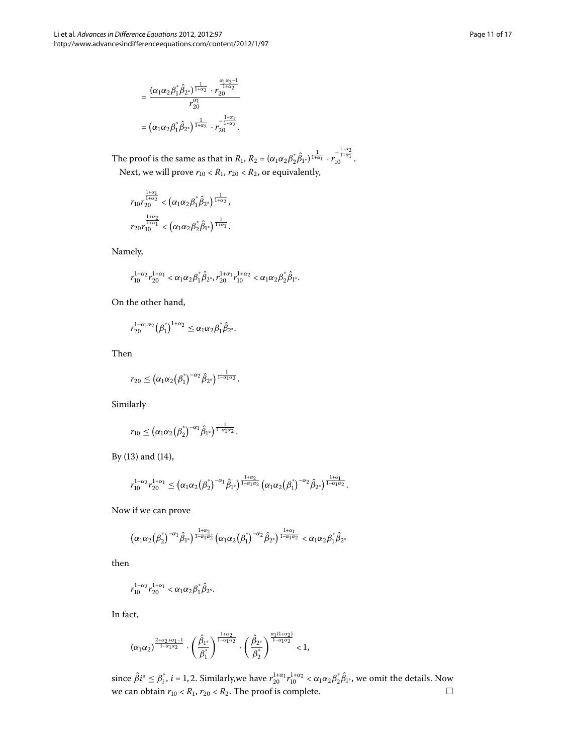$$
= \frac{(\alpha_1\alpha_2\beta_1^*\hat{\beta}_{2^*})^{\frac{1}{1+\alpha_2}}\cdot r_{20}^{\frac{\alpha_1\alpha_2-1}{1+\alpha_2}}}{r_{20}^{\alpha_1}}}{r_{20}^{\alpha_1}} = (\alpha_1\alpha_2\beta_1^*\hat{\beta}_{2^*})^{\frac{1}{1+\alpha_2}}\cdot r_{20}^{-\frac{1+\alpha_1}{1+\alpha_2}}.
$$

The proof is the same as that in  $R_1$ ,  $R_2 = (\alpha_1 \alpha_2 \beta_2^* \hat{\beta}_{1^*})^{\frac{1}{1+\alpha_1}} \cdot r_1^{\frac{1+\alpha_2}{1+\alpha_1}}$ . Next, we will prove  $r_{10} < R_1$ ,  $r_{20} < R_2$ , or equivalently,

$$
\begin{array}{l} r_{10}r_{20}^{\frac{1+\alpha_{1}}{1+\alpha_{2}}}<\left(\alpha_{1}\alpha_{2}\beta_{1}^{\ast}\hat{\beta}_{2^{\ast}}\right)^{\frac{1}{1+\alpha_{2}}},\\ r_{20}r_{10}^{\frac{1+\alpha_{2}}{1+\alpha_{1}}}<\left(\alpha_{1}\alpha_{2}\beta_{2}^{\ast}\hat{\beta}_{1^{\ast}}\right)^{\frac{1}{1+\alpha_{1}}}.\end{array}
$$

Namely,

$$
r_{10}^{1+\alpha_2}r_{20}^{1+\alpha_1} < \alpha_1\alpha_2\beta_1^*\hat{\beta}_{2^*}, r_{20}^{1+\alpha_1}r_{10}^{1+\alpha_2} < \alpha_1\alpha_2\beta_2^*\hat{\beta}_{1^*}.
$$

On the other hand,

$$
r_{20}^{1-\alpha_1\alpha_2}(\beta_1^*)^{1+\alpha_2} \leq \alpha_1\alpha_2\beta_1^*\hat{\beta}_{2^*}.
$$

Then

$$
r_{20}\leq \left(\alpha_1\alpha_2\big(\beta_1^*\big)^{-\alpha_2}\hat{\beta}_{2^*}\right)^{\frac{1}{1-\alpha_1\alpha_2}}.
$$

Similarly

$$
r_{10} \leq \left(\alpha_1 \alpha_2 \left(\beta_2^*\right)^{-\alpha_1} \hat{\beta}_{1^*}\right)^{\frac{1}{1-\alpha_1\alpha_2}}.
$$

By  $(13)$  $(13)$  and  $(14)$ ,

$$
r_{10}^{1+\alpha_2}r_{20}^{1+\alpha_1}\leq \left(\alpha_1\alpha_2\left(\beta_2^*\right)^{-\alpha_1}\hat{\beta}_{1^*}\right)^{\frac{1+\alpha_2}{1-\alpha_1\alpha_2}}\left(\alpha_1\alpha_2\left(\beta_1^*\right)^{-\alpha_2}\hat{\beta}_{2^*}\right)^{\frac{1+\alpha_1}{1-\alpha_1\alpha_2}}.
$$

Now if we can prove

$$
\big(\alpha_1\alpha_2\big(\boldsymbol{\beta}_2^*\big)^{-\alpha_1}\hat{\beta}_{1^*}\big)^{\frac{1+\alpha_2}{1-\alpha_1\alpha_2}}\big(\alpha_1\alpha_2\big(\boldsymbol{\beta}_1^*\big)^{-\alpha_2}\hat{\beta}_{2^*}\big)^{\frac{1+\alpha_1}{1-\alpha_1\alpha_2}}<\alpha_1\alpha_2\boldsymbol{\beta}_1^*\hat{\beta}_{2^*}
$$

then

$$
r_{10}^{1+\alpha_2}r_{20}^{1+\alpha_1}<\alpha_1\alpha_2\beta_1^*\hat{\beta}_{2^*}.
$$

In fact,

$$
(\alpha_1\alpha_2)^{\frac{2+\alpha_2+\alpha_1-1}{1-\alpha_1\alpha_2}}\cdot \left(\frac{\hat{\beta}_{1^*}}{\beta_1^*}\right)^{\frac{1+\alpha_2}{1-\alpha_1\alpha_2}}\cdot \left(\frac{\hat{\beta}_{2^*}}{\beta_2^*}\right)^{\frac{\alpha_1(1+\alpha_2)}{1-\alpha_1\alpha_2}}<1,
$$

since  $\hat{\beta}i^* \leq \beta_i^*$ ,  $i = 1, 2$ . Similarly,we have  $r_{20}^{1+\alpha_1}r_{10}^{1+\alpha_2} < \alpha_1\alpha_2\beta_2^*\hat{\beta}_{1^*}$ , we omit the details. Now we can obtain  $r_{10} < R_1$ ,  $r_{20} < R_2$ . The proof is complete.  $\Box$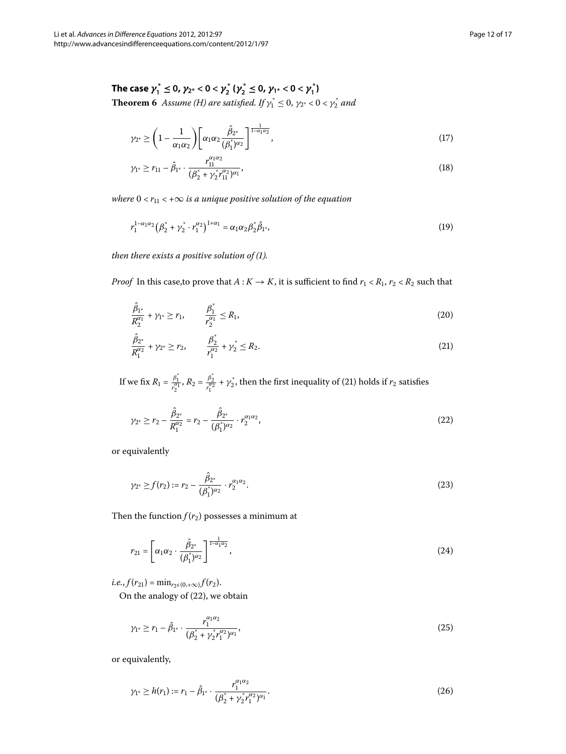<span id="page-11-4"></span><span id="page-11-3"></span>The case  $\gamma_1^* \le 0$ ,  $\gamma_{2^*} < 0 < \gamma_2^*$  ( $\gamma_2^* \le 0$ ,  $\gamma_{1^*} < 0 < \gamma_1^*$ ) **Theorem 6** Assume (*H*) are satisfied. If  $\gamma_1^* \leq 0$ ,  $\gamma_{2^*} < 0 < \gamma_2^*$  and

$$
\gamma_{2^*} \ge \left(1 - \frac{1}{\alpha_1 \alpha_2}\right) \left[\alpha_1 \alpha_2 \frac{\hat{\beta}_{2^*}}{(\beta_1^*)^{\alpha_2}}\right]^{\frac{1}{1 - \alpha_1 \alpha_2}},\tag{17}
$$

$$
\gamma_{1^*} \ge r_{11} - \hat{\beta}_{1^*} \cdot \frac{r_{11}^{\alpha_1 \alpha_2}}{(\beta_2^* + \gamma_2^* r_{11}^{\alpha_2})^{\alpha_1}},\tag{18}
$$

*where*  $0 < r_{11} < +\infty$  *is a unique positive solution of the equation* 

$$
r_1^{1-\alpha_1\alpha_2}(\beta_2^* + \gamma_2^* \cdot r_1^{\alpha_2})^{1+\alpha_1} = \alpha_1\alpha_2\beta_2^*\hat{\beta}_{1^*},
$$
\n(19)

<span id="page-11-2"></span><span id="page-11-0"></span>*then there exists a positive solution of (1).* 

*Proof* In this case, to prove that  $A: K \to K$ , it is sufficient to find  $r_1 < R_1$ ,  $r_2 < R_2$  such that

$$
\frac{\hat{\beta}_{1^*}}{R_2^{\alpha_1}} + \gamma_{1^*} \ge r_1, \qquad \frac{\beta_1^*}{r_2^{\alpha_1}} \le R_1,\tag{20}
$$

<span id="page-11-1"></span>
$$
\frac{\hat{\beta}_{2^*}}{R_1^{\alpha_2}} + \gamma_{2^*} \ge r_2, \qquad \frac{\beta_2^*}{r_1^{\alpha_2}} + \gamma_2^* \le R_2.
$$
\n(21)

If we fix  $R_1 = \frac{\beta_1^*}{r_1^{\alpha_1}}$ ,  $R_2 = \frac{\beta_2^*}{r_1^{\alpha_2}} + \gamma_2^*$ , then the first inequality of (21) holds if  $r_2$  satisfies

$$
\gamma_{2^*} \ge r_2 - \frac{\hat{\beta}_{2^*}}{R_1^{\alpha_2}} = r_2 - \frac{\hat{\beta}_{2^*}}{(\beta_1^*)^{\alpha_2}} \cdot r_2^{\alpha_1 \alpha_2},\tag{22}
$$

or equivalently

$$
\gamma_{2^*} \ge f(r_2) := r_2 - \frac{\hat{\beta}_{2^*}}{(\beta_1^*)^{\alpha_2}} \cdot r_2^{\alpha_1 \alpha_2}.
$$
\n(23)

Then the function  $f(r_2)$  possesses a minimum at

$$
r_{21} = \left[ \alpha_1 \alpha_2 \cdot \frac{\hat{\beta}_{2^*}}{(\beta_1^*)^{\alpha_2}} \right]^{\frac{1}{1-\alpha_1 \alpha_2}}, \tag{24}
$$

 $i.e., f(r_{21}) = \min_{r_2 \in (0, +\infty)} f(r_2).$ 

On the analogy of  $(22)$ , we obtain

$$
\gamma_{1} \geq r_{1} - \hat{\beta}_{1} \cdot \frac{r_{1}^{\alpha_{1}\alpha_{2}}}{(\beta_{2}^{*} + \gamma_{2}^{*}r_{1}^{\alpha_{2}})^{\alpha_{1}}},\tag{25}
$$

or equivalently,

$$
\gamma_{1^*} \ge h(r_1) := r_1 - \hat{\beta}_{1^*} \cdot \frac{r_1^{\alpha_1 \alpha_2}}{(\beta_2^* + \gamma_2^* r_1^{\alpha_2})^{\alpha_1}}.
$$
\n(26)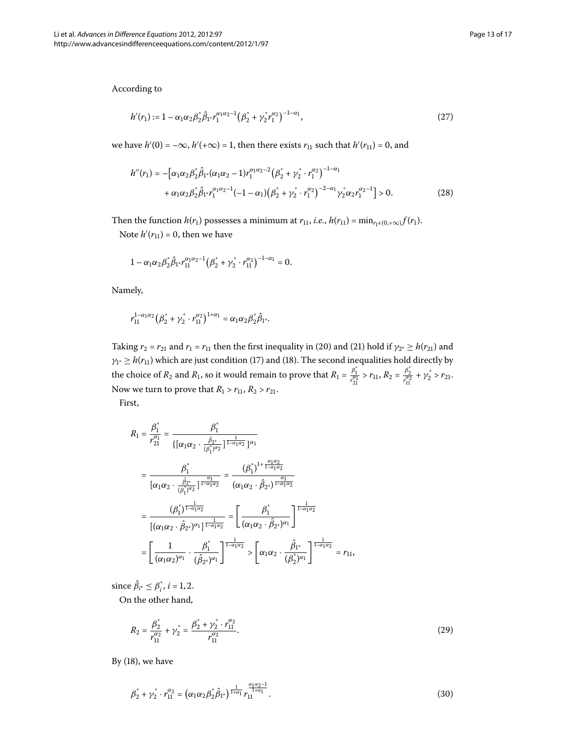According to

$$
h'(r_1) := 1 - \alpha_1 \alpha_2 \beta_2^* \hat{\beta}_{1^*} r_1^{\alpha_1 \alpha_2 - 1} \big( \beta_2^* + \gamma_2^* r_1^{\alpha_2} \big)^{-1 - \alpha_1}, \tag{27}
$$

we have  $h'(0) = -\infty$ ,  $h'(+\infty) = 1$ , then there exists  $r_{11}$  such that  $h'(r_{11}) = 0$ , and

$$
h''(r_1) = -\left[\alpha_1 \alpha_2 \beta_2^* \hat{\beta}_{1^*} (\alpha_1 \alpha_2 - 1) r_1^{\alpha_1 \alpha_2 - 2} (\beta_2^* + \gamma_2^* \cdot r_1^{\alpha_2})^{-1 - \alpha_1} \right. \\
\left. + \alpha_1 \alpha_2 \beta_2^* \hat{\beta}_{1^*} r_1^{\alpha_1 \alpha_2 - 1} (-1 - \alpha_1) (\beta_2^* + \gamma_2^* \cdot r_1^{\alpha_2})^{-2 - \alpha_1} \gamma_2^* \alpha_2 r_1^{\alpha_2 - 1} \right] > 0.
$$
\n(28)

Then the function *h*(*r*<sub>1</sub>) possesses a minimum at *r*<sub>11</sub>, *i.e.*, *h*(*r*<sub>11</sub>) = min<sub>*r*<sub>1</sub> $\epsilon$ (0,+ $\infty$ )</sub>*f*(*r*<sub>1</sub>). Note  $h'(r_{11}) = 0$ , then we have

$$
1-\alpha_1\alpha_2\beta_2^*\hat{\beta}_{1^*}r_{11}^{\alpha_1\alpha_2-1}\big(\beta_2^*+\gamma_2^*\cdot r_{11}^{\alpha_2}\big)^{-1-\alpha_1}=0.
$$

Namely,

$$
r_{11}^{1-\alpha_1\alpha_2}\big(\beta_2^*+\gamma_2^*\cdot r_{11}^{\alpha_2}\big)^{1+\alpha_1} = \alpha_1\alpha_2\beta_2^*\hat{\beta}_{1^*}.
$$

Taking  $r_2 = r_{21}$  and  $r_1 = r_{11}$  then the first inequality in (20[\)](#page-11-0) and (21) hold if  $\gamma_{2^*} \ge h(r_{21})$  and  $\gamma_{1*} \geq h(r_{11})$  $\gamma_{1*} \geq h(r_{11})$  which are just condition [\(](#page-11-4)17) and (18). The second inequalities hold directly by the choice of *R*<sub>2</sub> and *R*<sub>1</sub>, so it would remain to prove that  $R_1 = \frac{\beta_1^*}{r_{21}^{\alpha_1}} > r_{11}$ ,  $R_2 = \frac{\beta_2^*}{r_{11}^{\alpha_2}} + \gamma_2^* > r_{21}$ . Now we turn to prove that  $R_1 > r_{11}$ ,  $R_2 > r_{21}$ . First,

$$
R_{1} = \frac{\beta_{1}^{*}}{r_{21}^{\alpha_{1}}} = \frac{\beta_{1}^{*}}{\{[\alpha_{1}\alpha_{2} \cdot \frac{\hat{\beta}_{2}^{*}}{(\beta_{1}^{*})^{\alpha_{2}}}\}^{\frac{1}{1-\alpha_{1}\alpha_{2}}}}\}\n= \frac{\beta_{1}^{*}}{[\alpha_{1}\alpha_{2} \cdot \frac{\hat{\beta}_{2}^{*}}{(\beta_{1}^{*})^{\alpha_{2}}}\}^{\frac{\alpha_{1}}{1-\alpha_{1}\alpha_{2}}}}\n= \frac{(\beta_{1}^{*})^{1+\frac{\alpha_{1}\alpha_{2}}{1-\alpha_{1}\alpha_{2}}}}{(\alpha_{1}\alpha_{2} \cdot \hat{\beta}_{2}^{*})^{\frac{\alpha_{1}}{1-\alpha_{1}\alpha_{2}}}}\n= \frac{(\beta_{1}^{*})^{1+\frac{\alpha_{1}\alpha_{2}}{1-\alpha_{1}\alpha_{2}}}}{[(\alpha_{1}\alpha_{2} \cdot \hat{\beta}_{2}^{*})^{\alpha_{1}}]^{\frac{1}{1-\alpha_{1}\alpha_{2}}}}\n= \left[\frac{\beta_{1}^{*}}{(\alpha_{1}\alpha_{2} \cdot \hat{\beta}_{2}^{*})^{\alpha_{1}}}\right]^{\frac{1}{1-\alpha_{1}\alpha_{2}}}\n= \left[\frac{1}{(\alpha_{1}\alpha_{2})^{\alpha_{1}}} \cdot \frac{\beta_{1}^{*}}{(\hat{\beta}_{2}^{*})^{\alpha_{1}}}\right]^{\frac{1}{1-\alpha_{1}\alpha_{2}}} > \left[\alpha_{1}\alpha_{2} \cdot \frac{\hat{\beta}_{1}^{*}}{(\beta_{2}^{*})^{\alpha_{1}}}\right]^{\frac{1}{1-\alpha_{1}\alpha_{2}}}=r_{11},
$$

since  $\hat{\beta}_{i^*} \leq \beta_i^*$ ,  $i = 1, 2$ .

On the other hand,

<span id="page-12-1"></span><span id="page-12-0"></span>
$$
R_2 = \frac{\beta_2^*}{r_{11}^{\alpha_2}} + \gamma_2^* = \frac{\beta_2^* + \gamma_2^* \cdot r_{11}^{\alpha_2}}{r_{11}^{\alpha_2}}.
$$
\n(29)

By  $(18)$  $(18)$ , we have

$$
\beta_2^* + \gamma_2^* \cdot r_{11}^{\alpha_2} = \left(\alpha_1 \alpha_2 \beta_2^* \hat{\beta}_{1^*}\right)^{\frac{1}{1+\alpha_1}} r_{11}^{\frac{\alpha_1 \alpha_2 - 1}{1+\alpha_1}}.
$$
\n(30)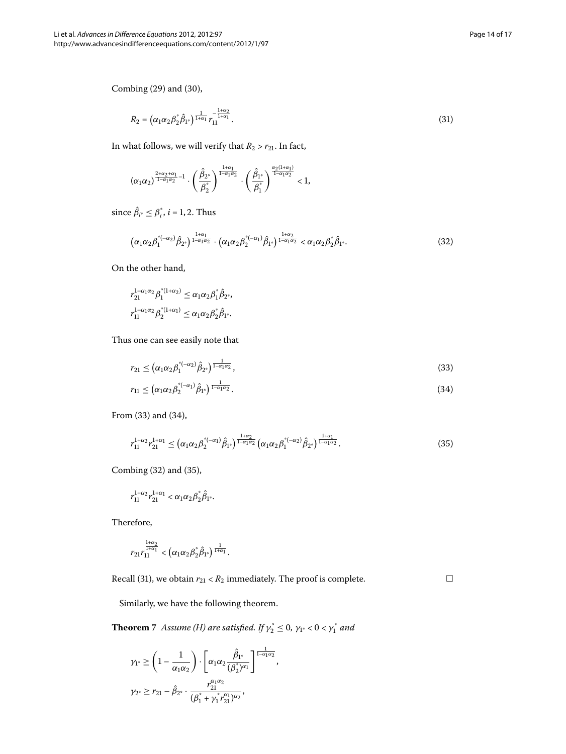<span id="page-13-3"></span> $\Box$ 

Combing  $(29)$  and  $(30)$ ,

<span id="page-13-4"></span>
$$
R_2 = \left(\alpha_1 \alpha_2 \beta_2^* \hat{\beta}_{1^*}\right)^{\frac{1}{1+\alpha_1}} r_{11}^{-\frac{1+\alpha_2}{1+\alpha_1}}.
$$
\n(31)

In what follows, we will verify that  $R_2 > r_{21}$ . In fact,

<span id="page-13-2"></span>
$$
(\alpha_1\alpha_2)^{\frac{2+\alpha_2+\alpha_1}{1-\alpha_1\alpha_2}-1}\cdot \left(\frac{\hat{\beta}_{2^*}}{\beta_2^*}\right)^{\frac{1+\alpha_1}{1-\alpha_1\alpha_2}}\cdot \left(\frac{\hat{\beta}_{1^*}}{\beta_1^*}\right)^{\frac{\alpha_2(1+\alpha_1)}{1-\alpha_1\alpha_2}}<1,
$$

since  $\hat{\beta}_{i^*} \leq \beta_i^*$ ,  $i = 1, 2$ . Thus

$$
\left(\alpha_1\alpha_2\beta_1^{\ast(-\alpha_2)}\hat{\beta}_{2^{\ast}}\right)^{\frac{1+\alpha_1}{1-\alpha_1\alpha_2}} \cdot \left(\alpha_1\alpha_2\beta_2^{\ast(-\alpha_1)}\hat{\beta}_{1^{\ast}}\right)^{\frac{1+\alpha_2}{1-\alpha_1\alpha_2}} < \alpha_1\alpha_2\beta_2^{\ast}\hat{\beta}_{1^{\ast}}.\tag{32}
$$

<span id="page-13-1"></span><span id="page-13-0"></span>On the other hand,

$$
r_{21}^{1-\alpha_1\alpha_2} \beta_1^{*(1+\alpha_2)} \le \alpha_1 \alpha_2 \beta_1^* \hat{\beta}_{2^*},
$$
  

$$
r_{11}^{1-\alpha_1\alpha_2} \beta_2^{*(1+\alpha_1)} \le \alpha_1 \alpha_2 \beta_2^* \hat{\beta}_{1^*}.
$$

Thus one can see easily note that

$$
r_{21} \leq \left(\alpha_1 \alpha_2 \beta_1^{*(-\alpha_2)} \hat{\beta}_{2^*}\right)^{\frac{1}{1-\alpha_1 \alpha_2}},\tag{33}
$$

$$
r_{11} \leq \left(\alpha_1 \alpha_2 \beta_2^{*(-\alpha_1)} \hat{\beta}_{1^*}\right)^{\frac{1}{1-\alpha_1 \alpha_2}}.\tag{34}
$$

From  $(33)$  and  $(34)$ ,

$$
r_{11}^{1+\alpha_2}r_{21}^{1+\alpha_1} \leq \left(\alpha_1\alpha_2\beta_2^{*(-\alpha_1)}\hat{\beta}_{1^*}\right)^{\frac{1+\alpha_2}{1-\alpha_1\alpha_2}}\left(\alpha_1\alpha_2\beta_1^{*(-\alpha_2)}\hat{\beta}_{2^*}\right)^{\frac{1+\alpha_1}{1-\alpha_1\alpha_2}}.
$$
\n(35)

Combing  $(32)$  $(32)$  and  $(35)$ ,

$$
r_{11}^{1+\alpha_2}r_{21}^{1+\alpha_1} < \alpha_1\alpha_2\beta_2^*\hat{\beta}_{1^*}.
$$

Therefore,

$$
r_{21}r_{11}^{\frac{1+\alpha_2}{1+\alpha_1}} < \left(\alpha_1\alpha_2\beta_2^*\hat{\beta}_{1^*}\right)^{\frac{1}{1+\alpha_1}}.
$$

Recall (31[\)](#page-13-4), we obtain  $r_{21} < R_2$  immediately. The proof is complete.

,

Similarly, we have the following theorem.

**Theorem** 7 Assume [\(H](#page-3-0)) are satisfied. If  $\gamma_2^* \leq 0$ ,  $\gamma_{1^*} < 0 < \gamma_1^*$  and

$$
\begin{aligned} \gamma_{1^*}&\geq\left(1-\frac{1}{\alpha_1\alpha_2}\right)\cdot\left[\alpha_1\alpha_2\frac{\hat\beta_{1^*}}{(\beta_2^*)^{\alpha_1}}\right]^{\frac{1}{1-\alpha_1\alpha_2}}\\ \gamma_{2^*}&\geq r_{21}-\hat\beta_{2^*}\cdot\frac{r_{21}^{\alpha_1\alpha_2}}{(\beta_1^*+\gamma_1^*r_{21}^{\alpha_1})^{\alpha_2}}, \end{aligned}
$$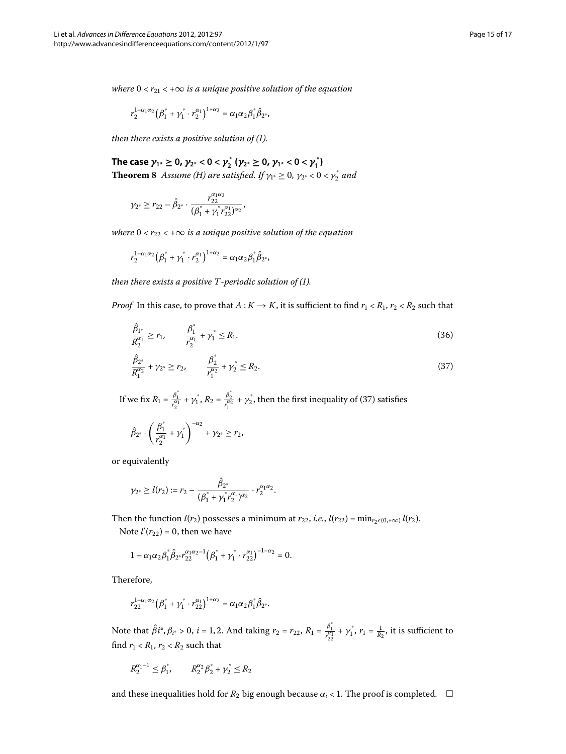*where*  $0 < r_{21} < +\infty$  *is a unique positive solution of the equation* 

$$
r_2^{1-\alpha_1\alpha_2}(\beta_1^* + \gamma_1^* \cdot r_2^{\alpha_1})^{1+\alpha_2} = \alpha_1\alpha_2\beta_1^*\hat{\beta}_{2^*},
$$

*then there exists a positive solution of (1).* 

The case  $\gamma_{1^*} \ge 0$ ,  $\gamma_{2^*} < 0 < \gamma_2^*$  ( $\gamma_{2^*} \ge 0$ ,  $\gamma_{1^*} < 0 < \gamma_1^*$ ) **Theorem 8** Assume [\(H](#page-3-0)) are satisfied. If  $\gamma_{1^*} \geq 0$ ,  $\gamma_{2^*} < 0 < \gamma_2^*$  and

$$
\gamma_{2^*} \geq r_{22} - \hat{\beta}_{2^*} \cdot \frac{r_{22}^{\alpha_1 \alpha_2}}{(\beta_1^* + \gamma_1^* r_{22}^{\alpha_1})^{\alpha_2}},
$$

*where*  $0 < r_{22} < +\infty$  *is a unique positive solution of the equation* 

$$
r_2^{1-\alpha_1\alpha_2}\big(\beta_1^*+\gamma_1^*\cdot r_2^{\alpha_1}\big)^{1+\alpha_2}=\alpha_1\alpha_2\beta_1^*\hat{\beta}_{2^*},
$$

<span id="page-14-0"></span>*then there exists a positive T-periodic solution of [\(](#page-0-1)1).* 

*Proof* In this case, to prove that  $A: K \to K$ , it is sufficient to find  $r_1 < R_1$ ,  $r_2 < R_2$  such that

$$
\frac{\hat{\beta}_{1^*}}{R_2^{\alpha_1}} \ge r_1, \qquad \frac{\beta_1^*}{r_2^{\alpha_1}} + \gamma_1^* \le R_1. \tag{36}
$$

$$
\frac{\hat{\beta}_{2^*}}{R_1^{\alpha_2}} + \gamma_{2^*} \ge r_2, \qquad \frac{\beta_2^*}{r_1^{\alpha_2}} + \gamma_2^* \le R_2.
$$
\n(37)

If we fix  $R_1 = \frac{\beta_1^*}{r_2^{a_1}} + \gamma_1^*, R_2 = \frac{\beta_2^*}{r_1^{a_2}} + \gamma_2^*,$  then the first inequality of (37[\)](#page-14-0) satisfies

$$
\hat{\beta}_{2^*}\cdot \left(\frac{\beta_1^*}{r_2^{\alpha_1}}+\gamma_1^*\right)^{-\alpha_2}+\gamma_{2^*}\geq r_2,
$$

or equivalently

$$
\gamma_{2^*} \geq l(r_2) := r_2 - \frac{\hat{\beta}_{2^*}}{(\beta_1^* + \gamma_1^* r_2^{\alpha_1})^{\alpha_2}} \cdot r_2^{\alpha_1 \alpha_2}.
$$

Then the function *l*(*r*<sub>2</sub>) possesses a minimum at *r*<sub>22</sub>, *i.e.*, *l*(*r*<sub>22</sub>) = min<sub>*r*<sub>2</sub> $\epsilon$ (0,+∞)</sub> *l*(*r*<sub>2</sub>). Note  $l'(r_{22}) = 0$ , then we have

$$
1 - \alpha_1 \alpha_2 \beta_1^* \hat{\beta}_{2^*} r_{22}^{\alpha_1 \alpha_2 - 1} (\beta_1^* + \gamma_1^* \cdot r_{22}^{\alpha_1})^{-1 - \alpha_2} = 0.
$$

Therefore,

$$
r_{22}^{1-\alpha_1\alpha_2}(\beta_1^* + \gamma_1^* \cdot r_{22}^{\alpha_1})^{1+\alpha_2} = \alpha_1\alpha_2\beta_1^*\hat{\beta}_{2^*}.
$$

Note that  $\hat{\beta}i^*, \beta_{i^*} > 0$ ,  $i = 1, 2$ . And taking  $r_2 = r_{22}$ ,  $R_1 = \frac{\beta_1^*}{r_{22}^{\alpha_1}} + \gamma_1^*, r_1 = \frac{1}{R_2}$ , it is sufficient to find  $r_1 < R_1$ ,  $r_2 < R_2$  such that

$$
R_2^{\alpha_1-1} \leq \beta_1^*, \qquad R_2^{\alpha_2} \beta_2^* + \gamma_2^* \leq R_2
$$

and these inequalities hold for  $R_2$  big enough because  $\alpha_i$  < 1. The proof is completed.  $\Box$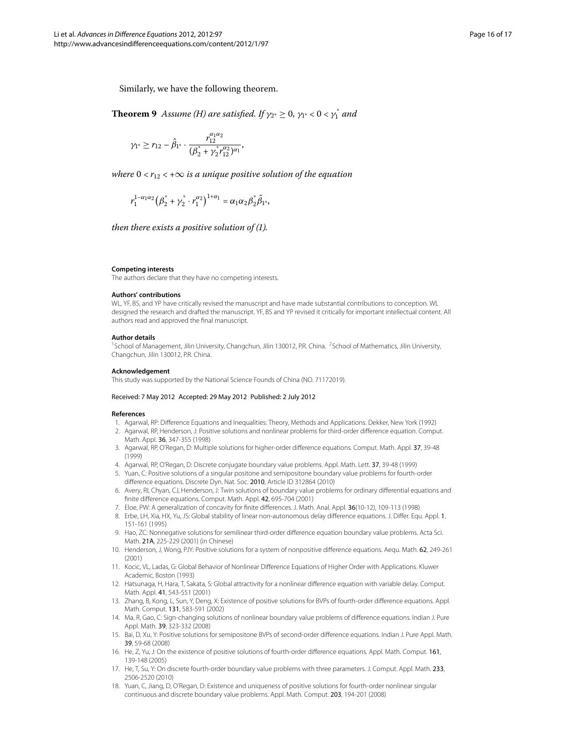Similarly, we have the following theorem.

**Theorem 9** Assume [\(H\)](#page-3-0) are satisfied. If  $\gamma_{2^*} \geq 0$ ,  $\gamma_{1^*} < 0 < \gamma_1^*$  and

$$
\gamma_{1^*} \geq r_{12} - \hat{\beta}_{1^*} \cdot \frac{r_{12}^{\alpha_1 \alpha_2}}{(\beta_2^* + \gamma_2^* r_{12}^{\alpha_2})^{\alpha_1}},
$$

*where*  $0 < r_{12} < +\infty$  *is a unique positive solution of the equation* 

<span id="page-15-1"></span>
$$
r_1^{1-\alpha_1\alpha_2}(\beta_2^* + \gamma_2^* \cdot r_1^{\alpha_2})^{1+\alpha_1} = \alpha_1\alpha_2\beta_2^*\hat{\beta}_{1^*},
$$

*then there exists a positive solution of (1).* 

#### <span id="page-15-0"></span>**Competing interests**

The authors declare that they have no competing interests.

#### **Authors' contributions**

WL, YF, BS, and YP have critically revised the manuscript and have made substantial contributions to conception. WL designed the research and drafted the manuscript. YF, BS and YP revised it critically for important intellectual content. All authors read and approved the final manuscript.

#### <span id="page-15-2"></span>**Author details**

<sup>1</sup>School of Management, Jilin University, Changchun, Jilin 130012, P.R. China. <sup>2</sup>School of Mathematics, Jilin University, Changchun, Jilin 130012, P.R. China.

#### **Acknowledgement**

<span id="page-15-7"></span><span id="page-15-6"></span>This study was supported by the National Science Founds of China (NO. 71172019).

#### Received: 7 May 2012 Accepted: 29 May 2012 Published: 2 July 2012

#### **References**

- 1. Agarwal, RP: Difference Equations and Inequalities: Theory, Methods and Applications. Dekker, New York (1992)
- 2. Agarwal, RP, Henderson, J: Positive solutions and nonlinear problems for third-order difference equation. Comput. Math. Appl. 36, 347-355 (1998)
- 3. Agarwal, RP, O'Regan, D: Multiple solutions for higher-order difference equations. Comput. Math. Appl. 37, 39-48 (1999)
- 4. Agarwal, RP, O'Regan, D: Discrete conjugate boundary value problems. Appl. Math. Lett. 37, 39-48 (1999)
- 5. Yuan, C: Positive solutions of a singular positone and semipositone boundary value problems for fourth-order difference equations. Discrete Dyn. Nat. Soc. 2010, Article ID 312864 (2010)
- 6. Avery, RI, Chyan, CJ, Henderson, J: Twin solutions of boundary value problems for ordinary differential equations and finite difference equations. Comput. Math. Appl. 42, 695-704 (2001)
- 7. Eloe, PW: A generalization of concavity for finite differences. J. Math. Anal. Appl. 36(10-12), 109-113 (1998)
- 8. Erbe, LH, Xia, HX, Yu, JS: Global stability of linear non-autonomous delay difference equations. J. Differ. Equ. Appl. 1, 151-161 (1995)
- 9. Hao, ZC: Nonnegative solutions for semilinear third-order difference equation boundary value problems. Acta Sci. Math. 21A, 225-229 (2001) (in Chinese)
- 10. Henderson, J, Wong, PJY: Positive solutions for a system of nonpositive difference equations. Aequ. Math. 62, 249-261 (2001)
- <span id="page-15-4"></span>11. Kocic, VL, Ladas, G: Global Behavior of Nonlinear Difference Equations of Higher Order with Applications. Kluwer Academic, Boston (1993)
- <span id="page-15-3"></span>12. Hatsunaga, H, Hara, T, Sakata, S: Global attractivity for a nonlinear difference equation with variable delay. Comput. Math. Appl. 41, 543-551 (2001)
- <span id="page-15-5"></span>13. Zhang, B, Kong, L, Sun, Y, Deng, X: Existence of positive solutions for BVPs of fourth-order difference equations. Appl. Math. Comput. 131, 583-591 (2002)
- 14. Ma, R, Gao, C: Sign-changing solutions of nonlinear boundary value problems of difference equations. Indian J. Pure Appl. Math. 39, 323-332 (2008)
- 15. Bai, D, Xu, Y: Positive solutions for semipositone BVPs of second-order difference equations. Indian J. Pure Appl. Math. 39, 59-68 (2008)
- 16. He, Z, Yu, J: On the existence of positive solutions of fourth-order difference equations. Appl. Math. Comput. 161, 139-148 (2005)
- 17. He, T, Su, Y: On discrete fourth-order boundary value problems with three parameters. J. Comput. Appl. Math. 233, 2506-2520 (2010)
- 18. Yuan, C, Jiang, D, O'Regan, D: Existence and uniqueness of positive solutions for fourth-order nonlinear singular continuous and discrete boundary value problems. Appl. Math. Comput. 203, 194-201 (2008)